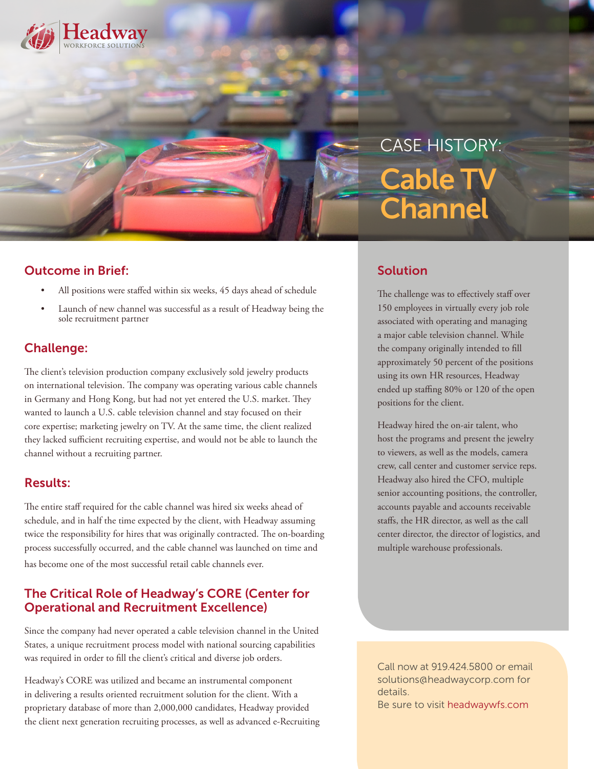

# CASE HISTORY: Cable TV **Channel**

### Outcome in Brief:

- All positions were staffed within six weeks, 45 days ahead of schedule
- Launch of new channel was successful as a result of Headway being the sole recruitment partner

## Challenge:

The client's television production company exclusively sold jewelry products on international television. The company was operating various cable channels in Germany and Hong Kong, but had not yet entered the U.S. market. They wanted to launch a U.S. cable television channel and stay focused on their core expertise; marketing jewelry on TV. At the same time, the client realized they lacked sufficient recruiting expertise, and would not be able to launch the channel without a recruiting partner.

#### Results:

The entire staff required for the cable channel was hired six weeks ahead of schedule, and in half the time expected by the client, with Headway assuming twice the responsibility for hires that was originally contracted. The on-boarding process successfully occurred, and the cable channel was launched on time and has become one of the most successful retail cable channels ever.

#### The Critical Role of Headway's CORE (Center for Operational and Recruitment Excellence)

Since the company had never operated a cable television channel in the United States, a unique recruitment process model with national sourcing capabilities was required in order to fill the client's critical and diverse job orders.

Headway's CORE was utilized and became an instrumental component in delivering a results oriented recruitment solution for the client. With a proprietary database of more than 2,000,000 candidates, Headway provided the client next generation recruiting processes, as well as advanced e-Recruiting

## Solution

The challenge was to effectively staff over 150 employees in virtually every job role associated with operating and managing a major cable television channel. While the company originally intended to fill approximately 50 percent of the positions using its own HR resources, Headway ended up staffing 80% or 120 of the open positions for the client.

Headway hired the on-air talent, who host the programs and present the jewelry to viewers, as well as the models, camera crew, call center and customer service reps. Headway also hired the CFO, multiple senior accounting positions, the controller, accounts payable and accounts receivable staffs, the HR director, as well as the call center director, the director of logistics, and multiple warehouse professionals.

Call now at 919.424.5800 or email solutions@headwaycorp.com for details. Be sure to visit headwaywfs.com